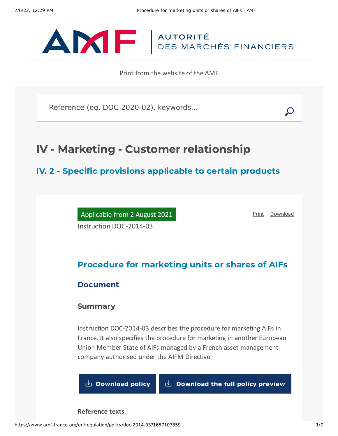

Print from the website of the AMF

Reference (eg. DOC-2020-02), keywords...

# IV - Marketing - Customer relationship

# IV. 2 - Specific provisions applicable to certain products

Applicable from 2 August 2021 Instruction DOC-2014-03

[Print](javascript:window.print()) [Download](https://www.amf-france.org/sites/default/files/pdf/62837/en/Procedure_for_marketing_units_or_shares_of_AIFs.pdf?1657103361)

# Procedure for marketing units or shares of AIFs

## Document

## Summary

Instruction DOC-2014-03 describes the procedure for marketing AIFs in France. It also specifies the procedure for marketing in another European Union Member State of AIFs managed by a French asset management company authorised under the AIFM Directive.

**[Download](https://www.amf-france.org/sites/default/files/private/2021-08/doc-2014-03_va6_cbdf_reluamg.pdf) policy [Download](https://www.amf-france.org/sites/default/files/doctrine/62837/en/DOC-2014-03.zip?1657103361) the full policy preview**

**Reference texts**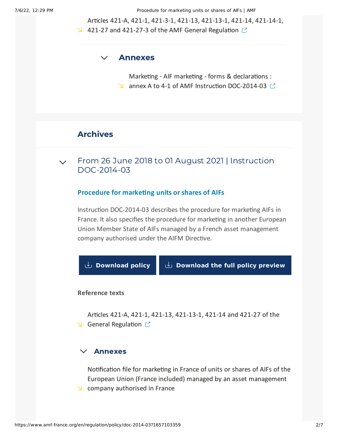7/6/22, 12:29 PM Procedure for marketing units or shares of AIFs | AMF

Articles 421-A, 421-1, 421-3-1, 421-13, 421-13-1, 421-14, 421-14-1,

421-27 and 421-27-3 of the AMF General [Regulation](https://www.amf-france.org/en/eli/fr/aai/amf/rg/book/4/20210523/notes)  $\mathbb{C}$ 

#### $\vee$ [Annexes](#page-1-0)

<span id="page-1-0"></span>Marketing - AIF marketing - forms & declarations : N annex A to 4-1 of AMF Instruction [DOC-2014-03](https://www.amf-france.org/en/forms-and-declarations/marketing/aif-marketing) (?)

# Archives

From 26 June 2018 to 01 August 2021 | Instruction [DOC-2014-03](#page-1-1)  $\vee$ 

### **Procedure for marketing units or shares of AIFs**

<span id="page-1-1"></span>Instruction DOC-2014-03 describes the procedure for marketing AIFs in France. It also specifies the procedure for marketing in another European Union Member State of AIFs managed by a French asset management company authorised under the AIFM Directive.



### **Reference texts**

Articles 421-A, 421-1, 421-13, 421-13-1, 421-14 and 421-27 of the  $\triangle$  General [Regulation](https://www.amf-france.org/eli/fr/aai/amf/rg/20171224/notes/en.pdf)  $\triangle$ 

#### $\checkmark$ [Annexes](#page-1-2)

<span id="page-1-2"></span>Notification file for marketing in France of units or shares of AIFs of the European Union (France included) managed by an asset [management](https://www.amf-france.org/en/forms-and-declarations/marketing/aif-marketing)  $\Delta$  company authorised in France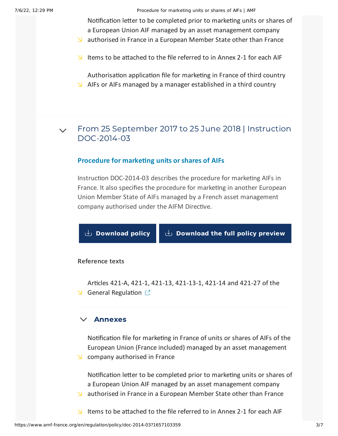7/6/22, 12:29 PM Procedure for marketing units or shares of AIFs | AMF

Notification letter to be completed prior to marketing units or shares of a European Union AIF managed by an asset [management](https://www.amf-france.org/en/forms-and-declarations/marketing/aif-marketing) company

- $\Delta$  authorised in France in a European Member State other than France
- Items to be [attached](https://www.amf-france.org/en/forms-and-declarations/marketing/aif-marketing) to the file referred to in Annex 2-1 for each AIF

[Authorisation](https://www.amf-france.org/en/forms-and-declarations/marketing/aif-marketing) application file for marketing in France of third country  $\blacktriangleright$  AIFs or AIFs managed by a manager established in a third country

From 25 September 2017 to 25 June 2018 | Instruction [DOC-2014-03](#page-2-0)  $\sqrt{2}$ 

### **Procedure for marketing units or shares of AIFs**

<span id="page-2-0"></span>Instruction DOC-2014-03 describes the procedure for marketing AIFs in France. It also specifies the procedure for marketing in another European Union Member State of AIFs managed by a French asset management company authorised under the AIFM Directive.

**[Download](https://www.amf-france.org/sites/default/files/private/2020-10/procedure-for-marketing-units-or-shares-of-aifs-3_0.pdf) policy [Download](https://www.amf-france.org/sites/default/files/doctrine/62837/en/DOC-2014-03-110667.zip) the full policy preview**

#### **Reference texts**

Articles 421-A, 421-1, 421-13, 421-13-1, 421-14 and 421-27 of the S General [Regulation](https://www.amf-france.org/eli/fr/aai/amf/rg/20171224/notes/en.pdf)  $\mathbb{C}$ 

## $\times$  [Annexes](#page-2-1)

<span id="page-2-1"></span>Notification file for marketing in France of units or shares of AIFs of the European Union (France included) managed by an asset [management](https://www.amf-france.org/en/forms-and-declarations/marketing/aif-marketing)  $\triangle$  company authorised in France

Notification letter to be completed prior to marketing units or shares of a European Union AIF managed by an asset [management](https://www.amf-france.org/en/forms-and-declarations/marketing/aif-marketing) company  $\blacktriangleright$  authorised in France in a European Member State other than France

Items to be [attached](https://www.amf-france.org/en/forms-and-declarations/marketing/aif-marketing) to the file referred to in Annex 2-1 for each AIF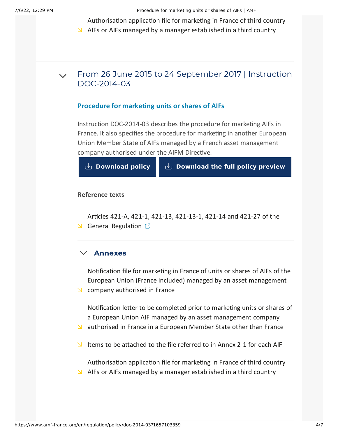7/6/22, 12:29 PM Procedure for marketing units or shares of AIFs | AMF

[Authorisation](https://www.amf-france.org/en/forms-and-declarations/marketing/aif-marketing) application file for marketing in France of third country

 $\blacktriangleright$  AIFs or AIFs managed by a manager established in a third country

#### From 26 June 2015 to 24 September 2017 | Instruction [DOC-2014-03](#page-3-0)  $\vee$

## **Procedure for marketing units or shares of AIFs**

<span id="page-3-0"></span>Instruction DOC-2014-03 describes the procedure for marketing AIFs in France. It also specifies the procedure for marketing in another European Union Member State of AIFs managed by a French asset management company authorised under the AIFM Directive.

**[Download](https://www.amf-france.org/sites/default/files/private/2020-10/procedure-for-marketing-units-or-shares-of-aifs-2.pdf) policy [Download](https://www.amf-france.org/sites/default/files/doctrine/62837/en/DOC-2014-03-110661.zip) the full policy preview**

### **Reference texts**

Articles 421-A, 421-1, 421-13, 421-13-1, 421-14 and 421-27 of the  $\triangle$  General [Regulation](https://reglement-general.amf-france.org/eli/fr/aai/amf/rg/notes/fr.html)  $\heartsuit$ 

## $\times$  [Annexes](#page-3-1)

<span id="page-3-1"></span>Notification file for marketing in France of units or shares of AIFs of the European Union (France included) managed by an asset [management](https://www.amf-france.org/en/forms-and-declarations/marketing/aif-marketing)  $\triangle$  company authorised in France

Notification letter to be completed prior to marketing units or shares of a European Union AIF managed by an asset [management](https://www.amf-france.org/en/forms-and-declarations/marketing/aif-marketing) company

- $\Delta$  authorised in France in a European Member State other than France
- Items to be [attached](https://www.amf-france.org/en/forms-and-declarations/marketing/aif-marketing) to the file referred to in Annex 2-1 for each AIF

[Authorisation](https://www.amf-france.org/en/forms-and-declarations/marketing/aif-marketing) application file for marketing in France of third country  $\blacktriangleright$  AIFs or AIFs managed by a manager established in a third country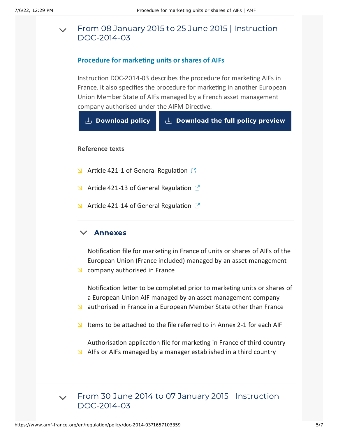#### From 08 January 2015 to 25 June 2015 | Instruction [DOC-2014-03](#page-4-0)  $\vee$

## **Procedure for marketing units or shares of AIFs**

<span id="page-4-0"></span>Instruction DOC-2014-03 describes the procedure for marketing AIFs in France. It also specifies the procedure for marketing in another European Union Member State of AIFs managed by a French asset management company authorised under the AIFM Directive.



### **Reference texts**

- $\blacktriangle$  Article 421-1 of General [Regulation](https://reglement-general.amf-france.org/eli/fr/aai/amf/rg/article/421-1/20110110/notes/en.html)  $\mathbb{C}$
- $\blacktriangle$  Article 421-13 of General [Regulation](https://reglement-general.amf-france.org/eli/fr/aai/amf/rg/article/421-13/20050909/notes/en.html)  $\mathbb{C}^n$
- $\blacktriangle$  Article 421-14 of General [Regulation](https://reglement-general.amf-france.org/eli/fr/aai/amf/rg/article/421-14/20050909/notes/en.html)  $\mathbb{C}$

#### $\vee$ [Annexes](#page-4-1)

<span id="page-4-1"></span>Notification file for marketing in France of units or shares of AIFs of the European Union (France included) managed by an asset [management](https://www.amf-france.org/en/forms-and-declarations/marketing/aif-marketing)

 $\triangle$  company authorised in France

Notification letter to be completed prior to marketing units or shares of a European Union AIF managed by an asset [management](https://www.amf-france.org/en/forms-and-declarations/marketing/aif-marketing) company

- $\Delta$  authorised in France in a European Member State other than France
- Items to be [attached](https://www.amf-france.org/en/forms-and-declarations/marketing/aif-marketing) to the file referred to in Annex 2-1 for each AIF

[Authorisation](https://www.amf-france.org/en/forms-and-declarations/marketing/aif-marketing) application file for marketing in France of third country  $\Delta$  AIFs or AIFs managed by a manager established in a third country

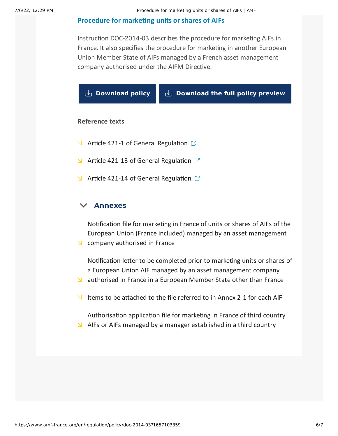## **[Procedure](#page-5-0) for marketing units or shares of AIFs**

<span id="page-5-0"></span>Instruction DOC-2014-03 describes the procedure for marketing AIFs in France. It also specifies the procedure for marketing in another European Union Member State of AIFs managed by a French asset management company authorised under the AIFM Directive.

|                        | $\cup$ Download policy                               | $\cup$ Download the full policy preview |  |
|------------------------|------------------------------------------------------|-----------------------------------------|--|
| <b>Reference texts</b> |                                                      |                                         |  |
|                        | S Article 421-1 of General Regulation $\mathbb{C}^n$ |                                         |  |
| N.                     | Article 421-13 of General Regulation $\mathbb{C}^n$  |                                         |  |
| Z.                     | Article 421-14 of General Regulation $\mathbb{C}^n$  |                                         |  |
|                        |                                                      |                                         |  |

## $\times$  [Annexes](#page-5-1)

<span id="page-5-1"></span>Notification file for marketing in France of units or shares of AIFs of the European Union (France included) managed by an asset [management](https://www.amf-france.org/en/forms-and-declarations/marketing/aif-marketing)  $\triangle$  company authorised in France

Notification letter to be completed prior to marketing units or shares of a European Union AIF managed by an asset [management](https://www.amf-france.org/en/forms-and-declarations/marketing/aif-marketing) company

- $\blacktriangleright$  authorised in France in a European Member State other than France
- Items to be [attached](https://www.amf-france.org/en/forms-and-declarations/marketing/aif-marketing) to the file referred to in Annex 2-1 for each AIF

[Authorisation](https://www.amf-france.org/en/forms-and-declarations/marketing/aif-marketing) application file for marketing in France of third country  $\blacktriangleright$  AIFs or AIFs managed by a manager established in a third country